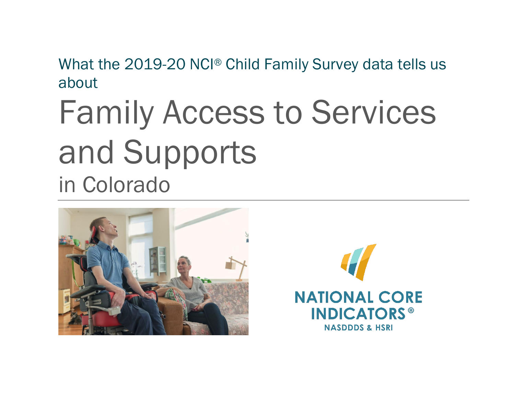What the 2019-20 NCI® Child Family Survey data tells us about

# Family Access to Services and Supports in Colorado



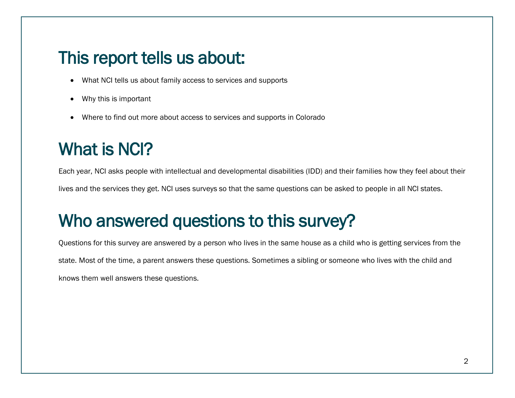#### This report tells us about:

- What NCI tells us about family access to services and supports
- Why this is important
- Where to find out more about access to services and supports in Colorado

# What is NCI?

Each year, NCI asks people with intellectual and developmental disabilities (IDD) and their families how they feel about their lives and the services they get. NCI uses surveys so that the same questions can be asked to people in all NCI states.

# Who answered questions to this survey?

Questions for this survey are answered by a person who lives in the same house as a child who is getting services from the state. Most of the time, a parent answers these questions. Sometimes a sibling or someone who lives with the child and knows them well answers these questions.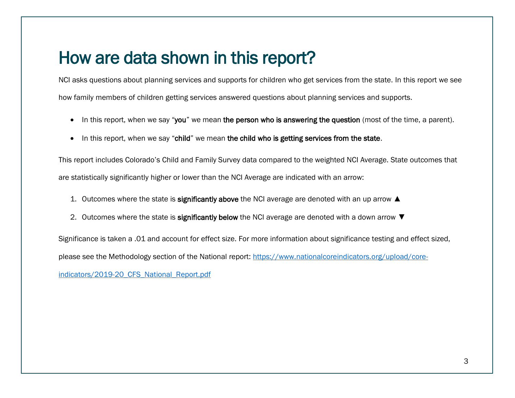#### How are data shown in this report?

NCI asks questions about planning services and supports for children who get services from the state. In this report we see how family members of children getting services answered questions about planning services and supports.

- In this report, when we say "you" we mean the person who is answering the question (most of the time, a parent).
- In this report, when we say "child" we mean the child who is getting services from the state.

This report includes Colorado's Child and Family Survey data compared to the weighted NCI Average. State outcomes that are statistically significantly higher or lower than the NCI Average are indicated with an arrow:

- 1. Outcomes where the state is significantly above the NCI average are denoted with an up arrow ▲
- 2. Outcomes where the state is significantly below the NCI average are denoted with a down arrow ▼

Significance is taken a .01 and account for effect size. For more information about significance testing and effect sized, please see the Methodology section of the National report: [https://www.nationalcoreindicators.org/upload/core-](https://www.nationalcoreindicators.org/upload/core-indicators/2019-20_CFS_National_Report.pdf)

indicators/2019-20 CFS National Report.pdf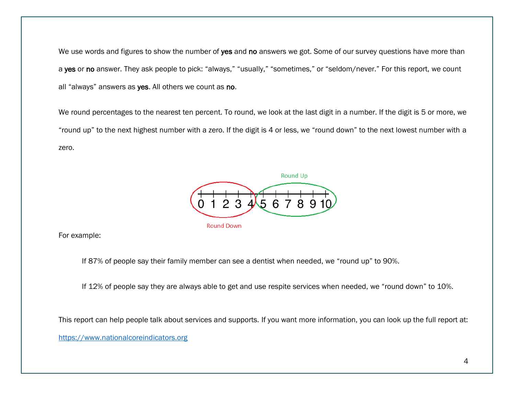We use words and figures to show the number of yes and no answers we got. Some of our survey questions have more than a yes or no answer. They ask people to pick: "always," "usually," "sometimes," or "seldom/never." For this report, we count all "always" answers as yes. All others we count as no.

We round percentages to the nearest ten percent. To round, we look at the last digit in a number. If the digit is 5 or more, we "round up" to the next highest number with a zero. If the digit is 4 or less, we "round down" to the next lowest number with a zero.



For example:

If 87% of people say their family member can see a dentist when needed, we "round up" to 90%.

If 12% of people say they are always able to get and use respite services when needed, we "round down" to 10%.

This report can help people talk about services and supports. If you want more information, you can look up the full report at:

[https://www.nationalcoreindicators.org](https://www.nationalcoreindicators.org/)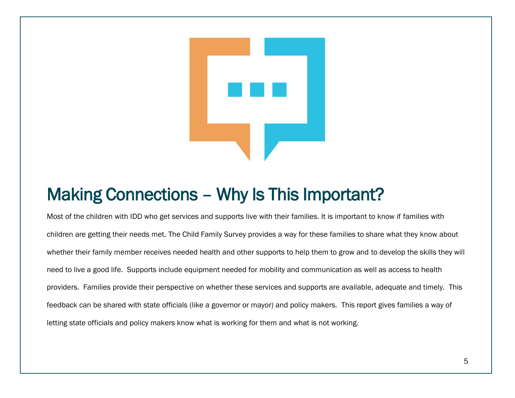

# Making Connections – Why Is This Important?

Most of the children with IDD who get services and supports live with their families. It is important to know if families with children are getting their needs met. The Child Family Survey provides a way for these families to share what they know about whether their family member receives needed health and other supports to help them to grow and to develop the skills they will need to live a good life. Supports include equipment needed for mobility and communication as well as access to health providers. Families provide their perspective on whether these services and supports are available, adequate and timely. This feedback can be shared with state officials (like a governor or mayor) and policy makers. This report gives families a way of letting state officials and policy makers know what is working for them and what is not working.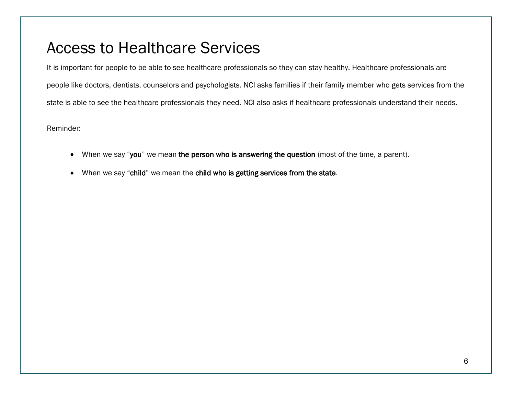#### Access to Healthcare Services

It is important for people to be able to see healthcare professionals so they can stay healthy. Healthcare professionals are people like doctors, dentists, counselors and psychologists. NCI asks families if their family member who gets services from the state is able to see the healthcare professionals they need. NCI also asks if healthcare professionals understand their needs.

Reminder:

- When we say "you" we mean the person who is answering the question (most of the time, a parent).
- When we say "child" we mean the child who is getting services from the state.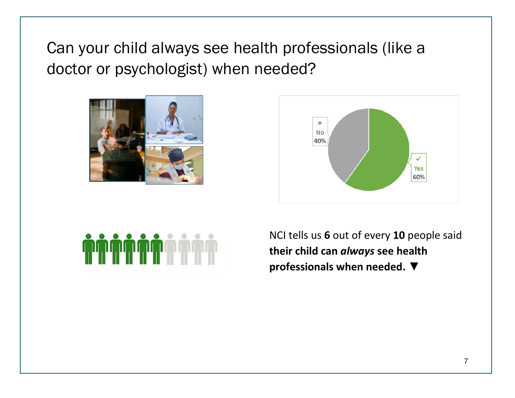Can your child always see health professionals (like a doctor or psychologist) when needed?







NCI tells us **6** out of every **10** people said **their child can** *always* **see health professionals when needed. ▼**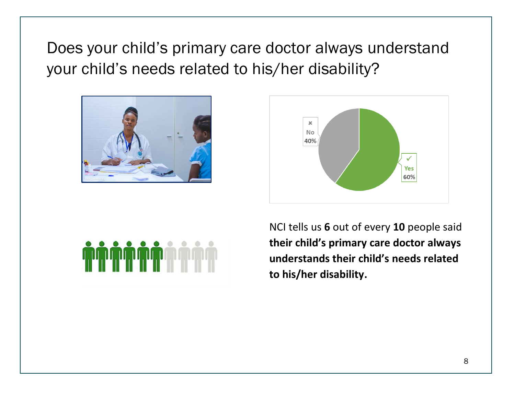Does your child's primary care doctor always understand your child's needs related to his/her disability?







NCI tells us **6** out of every **10** people said **their child's primary care doctor always understands their child's needs related to his/her disability.**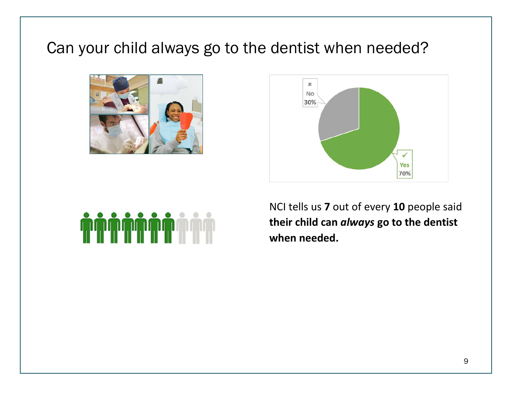#### Can your child always go to the dentist when needed?







NCI tells us **7** out of every **10** people said **their child can** *always* **go to the dentist when needed.**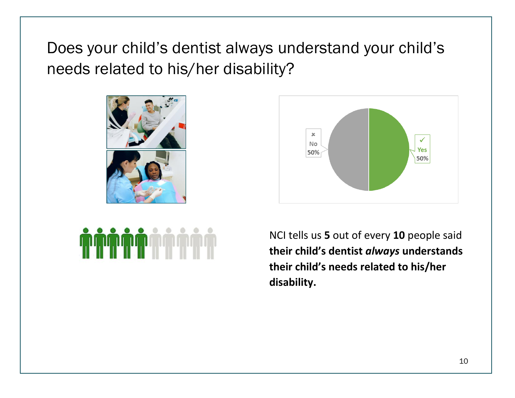Does your child's dentist always understand your child's needs related to his/her disability?





NCI tells us **5** out of every **10** people said **their child's dentist** *always* **understands their child's needs related to his/her disability.**

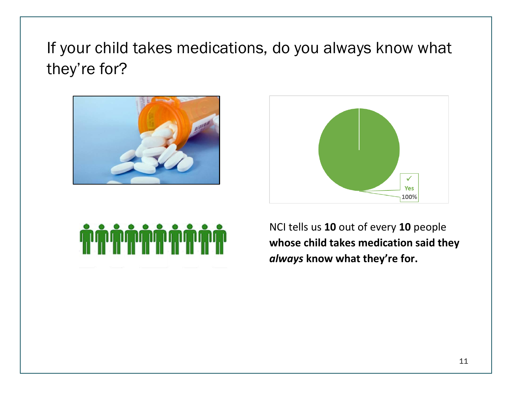If your child takes medications, do you always know what they're for?







NCI tells us **10** out of every **10** people **whose child takes medication said they**  *always* **know what they're for.**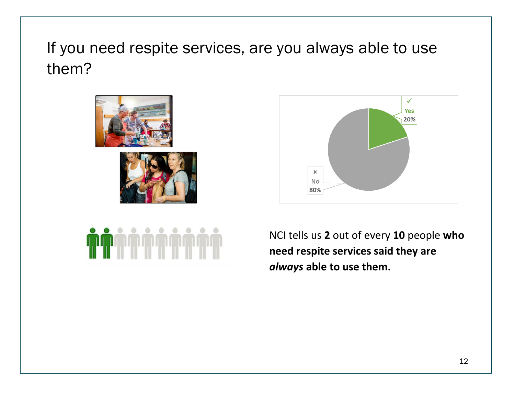If you need respite services, are you always able to use them?







NCI tells us **2** out of every **10** people **who need respite services said they are**  *always* **able to use them.**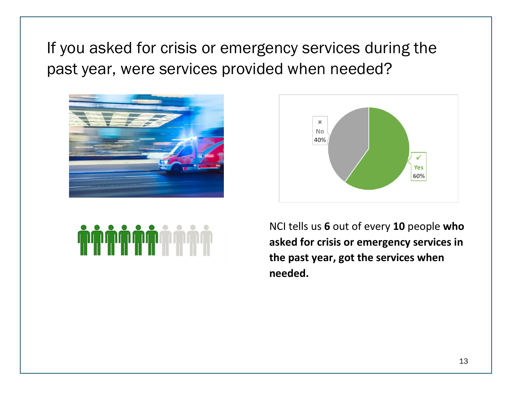If you asked for crisis or emergency services during the past year, were services provided when needed?







NCI tells us **6** out of every **10** people **who asked for crisis or emergency services in the past year, got the services when needed.**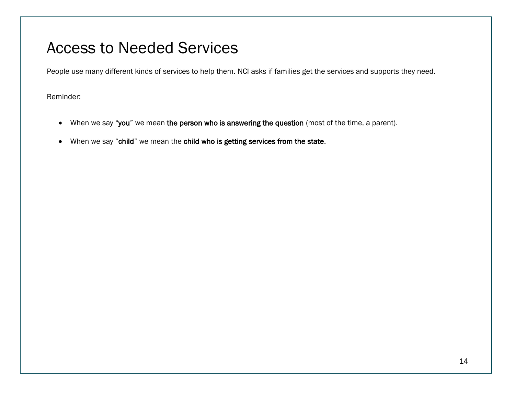#### Access to Needed Services

People use many different kinds of services to help them. NCI asks if families get the services and supports they need.

Reminder:

- When we say "you" we mean the person who is answering the question (most of the time, a parent).
- When we say "child" we mean the child who is getting services from the state.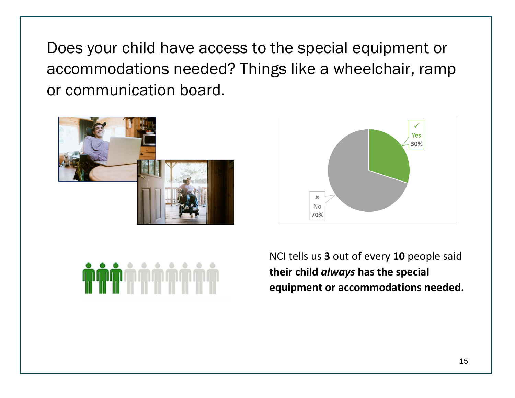Does your child have access to the special equipment or accommodations needed? Things like a wheelchair, ramp or communication board.







NCI tells us **3** out of every **10** people said **their child** *always* **has the special equipment or accommodations needed.**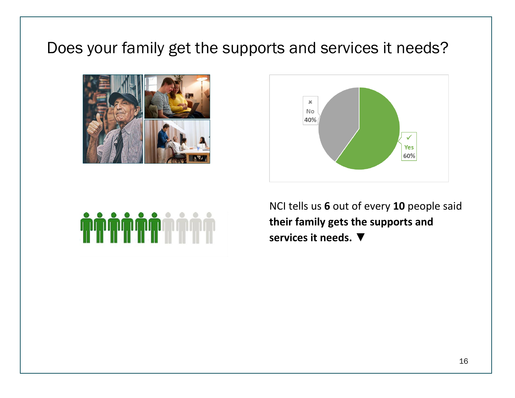#### Does your family get the supports and services it needs?







NCI tells us **6** out of every **10** people said **their family gets the supports and services it needs. ▼**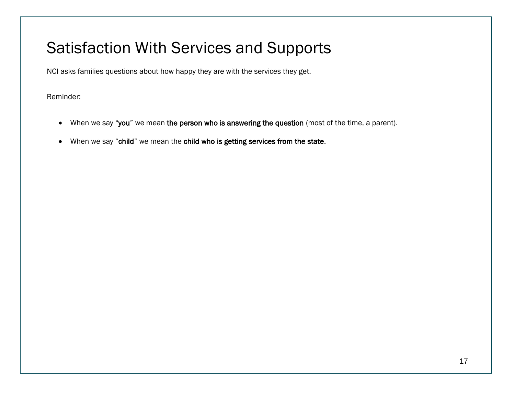#### Satisfaction With Services and Supports

NCI asks families questions about how happy they are with the services they get.

Reminder:

- When we say "you" we mean the person who is answering the question (most of the time, a parent).
- When we say "child" we mean the child who is getting services from the state.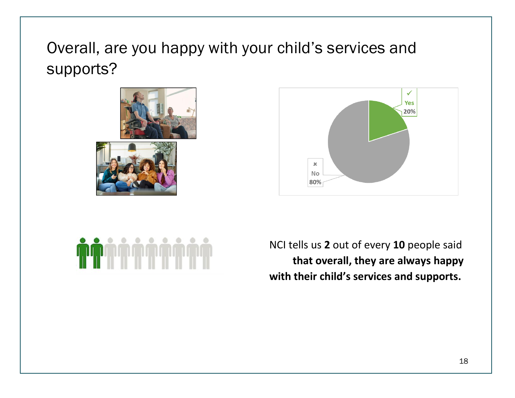## Overall, are you happy with your child's services and supports?







NCI tells us **2** out of every **10** people said **that overall, they are always happy with their child's services and supports.**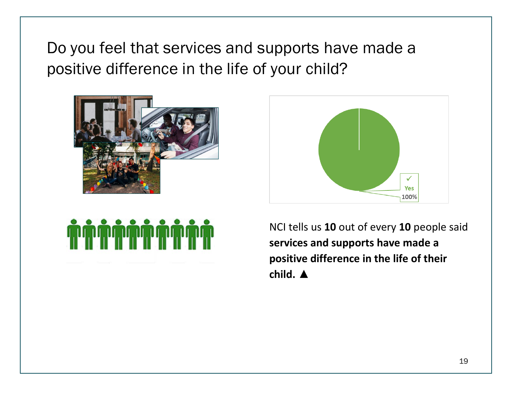Do you feel that services and supports have made a positive difference in the life of your child?







NCI tells us **10** out of every **10** people said **services and supports have made a positive difference in the life of their child. ▲**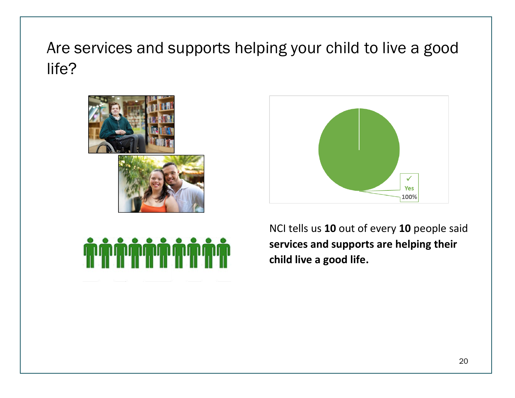Are services and supports helping your child to live a good life?







NCI tells us **10** out of every **10** people said **services and supports are helping their child live a good life.**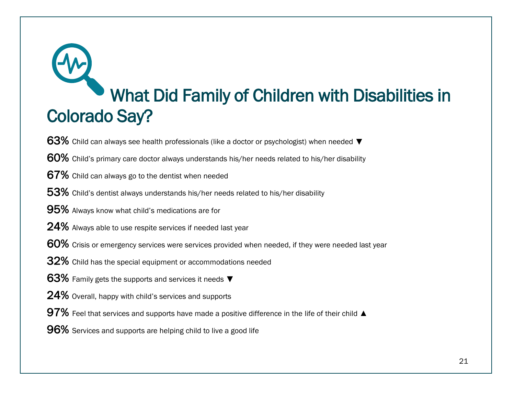# What Did Family of Children with Disabilities in Colorado Say?

- 63% Child can always see health professionals (like a doctor or psychologist) when needed  $\blacktriangledown$
- 60% Child's primary care doctor always understands his/her needs related to his/her disability
- 67% Child can always go to the dentist when needed
- 53% Child's dentist always understands his/her needs related to his/her disability
- 95% Always know what child's medications are for
- 24% Always able to use respite services if needed last year
- 60% Crisis or emergency services were services provided when needed, if they were needed last year
- 32% Child has the special equipment or accommodations needed
- 63% Family gets the supports and services it needs ▼
- 24% Overall, happy with child's services and supports
- 97% Feel that services and supports have made a positive difference in the life of their child  $\triangle$
- 96% Services and supports are helping child to live a good life